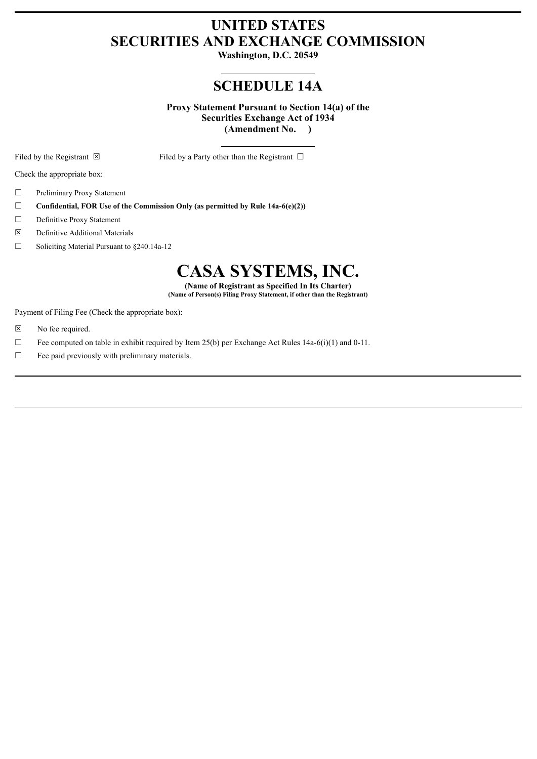## **UNITED STATES SECURITIES AND EXCHANGE COMMISSION**

**Washington, D.C. 20549**

# **SCHEDULE 14A**

**Proxy Statement Pursuant to Section 14(a) of the Securities Exchange Act of 1934 (Amendment No. )**

Filed by the Registrant  $\boxtimes$  Filed by a Party other than the Registrant  $\Box$ 

Check the appropriate box:

- ☐ Preliminary Proxy Statement
- ☐ **Confidential, FOR Use of the Commission Only (as permitted by Rule 14a-6(e)(2))**
- ☐ Definitive Proxy Statement
- ☒ Definitive Additional Materials
- ☐ Soliciting Material Pursuant to §240.14a-12

# **CASA SYSTEMS, INC.**

**(Name of Registrant as Specified In Its Charter) (Name of Person(s) Filing Proxy Statement, if other than the Registrant)**

Payment of Filing Fee (Check the appropriate box):

- ☒ No fee required.
- $\Box$  Fee computed on table in exhibit required by Item 25(b) per Exchange Act Rules 14a-6(i)(1) and 0-11.
- $\Box$  Fee paid previously with preliminary materials.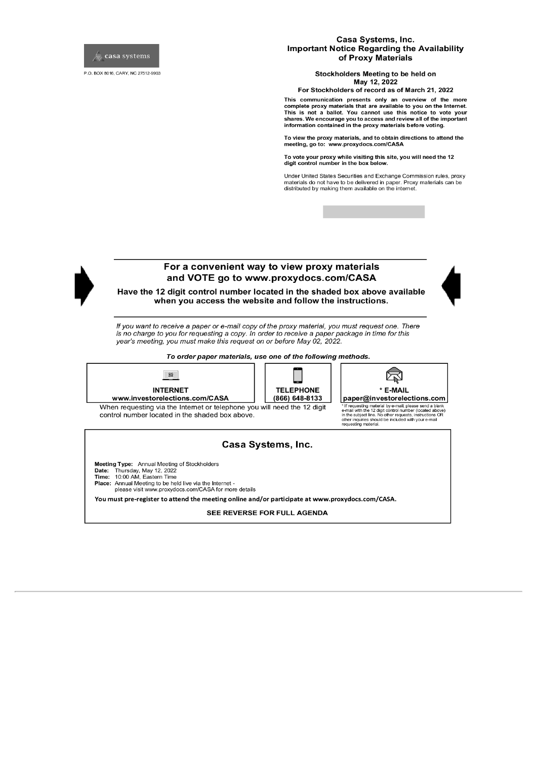

P.O. BOX 8016, CARY, NC 27512-9903

#### Casa Systems, Inc. **Important Notice Regarding the Availability** of Proxy Materials

Stockholders Meeting to be held on May 12, 2022

For Stockholders of record as of March 21, 2022

This communication presents only an overview of the more complete proxy materials that are available to you on the Internet.<br>This is not a ballot. You cannot use this notice to vote your<br>shares. We encourage you to access and review all of the important information contained in the proxy materials before voting.

To view the proxy materials, and to obtain directions to attend the meeting, go to: www.proxydocs.com/CASA

To vote your proxy while visiting this site, you will need the 12 digit control number in the box below.

Under United States Securities and Exchange Commission rules, proxy Conservation of the delivered in paper. Proxy materials can be materials do not have to be delivered in paper. Proxy materials can be distributed by making them available on the internet.



## For a convenient way to view proxy materials and VOTE go to www.proxydocs.com/CASA



Have the 12 digit control number located in the shaded box above available when you access the website and follow the instructions.

If you want to receive a paper or e-mail copy of the proxy material, you must request one. There is no charge to you for requesting a copy. In order to receive a paper package in time for this year's meeting, you must make this request on or before May 02, 2022.

To order paper materials, use one of the following methods.



#### Casa Systems, Inc.

Meeting Type: Annual Meeting of Stockholders Date: Thursday, May 12, 2022<br>Time: 10:00 AM, Eastern Time Place: Annual Meeting to be held live via the Internet please visit www.proxydocs.com/CASA for more details

You must pre-register to attend the meeting online and/or participate at www.proxydocs.com/CASA.

SEE REVERSE FOR FULL AGENDA